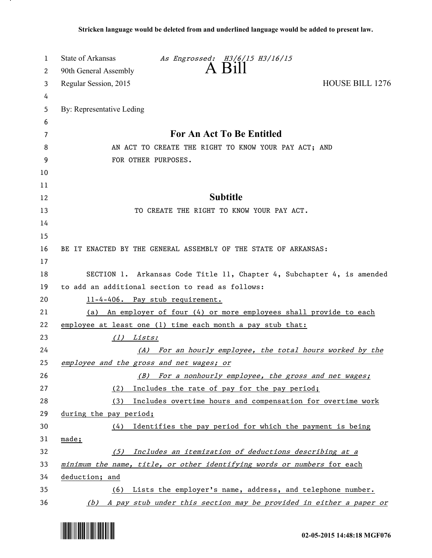| 1        | State of Arkansas<br>As Engrossed: H3/6/15 H3/16/15                         |
|----------|-----------------------------------------------------------------------------|
| 2        | $A$ $B1$<br>90th General Assembly                                           |
| 3        | <b>HOUSE BILL 1276</b><br>Regular Session, 2015                             |
| 4        |                                                                             |
| 5        | By: Representative Leding                                                   |
| 6        |                                                                             |
| 7        | For An Act To Be Entitled                                                   |
| 8        | AN ACT TO CREATE THE RIGHT TO KNOW YOUR PAY ACT; AND                        |
| 9        | FOR OTHER PURPOSES.                                                         |
| 10       |                                                                             |
| 11       |                                                                             |
| 12       | <b>Subtitle</b>                                                             |
| 13       | TO CREATE THE RIGHT TO KNOW YOUR PAY ACT.                                   |
| 14       |                                                                             |
| 15       |                                                                             |
| 16       | BE IT ENACTED BY THE GENERAL ASSEMBLY OF THE STATE OF ARKANSAS:             |
| 17       |                                                                             |
| 18       | SECTION 1. Arkansas Code Title 11, Chapter 4, Subchapter 4, is amended      |
| 19       | to add an additional section to read as follows:                            |
| 20       | 11-4-406. Pay stub requirement.                                             |
| 21<br>22 | (a) An employer of four (4) or more employees shall provide to each         |
| 23       | employee at least one (1) time each month a pay stub that:<br>Lists:<br>(1) |
| 24       | (A) For an hourly employee, the total hours worked by the                   |
| 25       | employee and the gross and net wages; or                                    |
| 26       | For a nonhourly employee, the gross and net wages;<br>(B)                   |
| 27       | Includes the rate of pay for the pay period;<br>(2)                         |
| 28       | (3) Includes overtime hours and compensation for overtime work              |
| 29       | during the pay period;                                                      |
| 30       | Identifies the pay period for which the payment is being<br>(4)             |
| 31       | made;                                                                       |
| 32       | Includes an itemization of deductions describing at a<br>(5)                |
| 33       | minimum the name, title, or other identifying words or numbers for each     |
| 34       | deduction; and                                                              |
| 35       | (6) Lists the employer's name, address, and telephone number.               |
| 36       | (b) A pay stub under this section may be provided in either a paper or      |



.